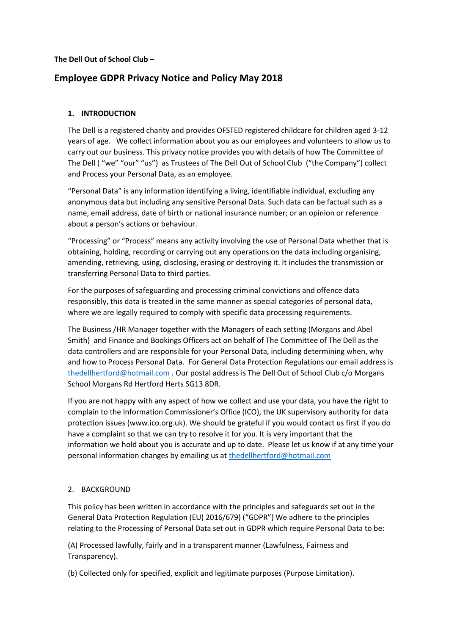**The Dell Out of School Club –**

# **Employee GDPR Privacy Notice and Policy May 2018**

# **1. INTRODUCTION**

The Dell is a registered charity and provides OFSTED registered childcare for children aged 3-12 years of age. We collect information about you as our employees and volunteers to allow us to carry out our business. This privacy notice provides you with details of how The Committee of The Dell ( "we" "our" "us") as Trustees of The Dell Out of School Club ("the Company") collect and Process your Personal Data, as an employee.

"Personal Data" is any information identifying a living, identifiable individual, excluding any anonymous data but including any sensitive Personal Data. Such data can be factual such as a name, email address, date of birth or national insurance number; or an opinion or reference about a person's actions or behaviour.

"Processing" or "Process" means any activity involving the use of Personal Data whether that is obtaining, holding, recording or carrying out any operations on the data including organising, amending, retrieving, using, disclosing, erasing or destroying it. It includes the transmission or transferring Personal Data to third parties.

For the purposes of safeguarding and processing criminal convictions and offence data responsibly, this data is treated in the same manner as special categories of personal data, where we are legally required to comply with specific data processing requirements.

The Business /HR Manager together with the Managers of each setting (Morgans and Abel Smith) and Finance and Bookings Officers act on behalf of The Committee of The Dell as the data controllers and are responsible for your Personal Data, including determining when, why and how to Process Personal Data. For General Data Protection Regulations our email address is [thedellhertford@hotmail.com](mailto:thedellhertford@hotmail.com) . Our postal address is The Dell Out of School Club c/o Morgans School Morgans Rd Hertford Herts SG13 8DR.

If you are not happy with any aspect of how we collect and use your data, you have the right to complain to the Information Commissioner's Office (ICO), the UK supervisory authority for data protection issues (www.ico.org.uk). We should be grateful if you would contact us first if you do have a complaint so that we can try to resolve it for you. It is very important that the information we hold about you is accurate and up to date. Please let us know if at any time your personal information changes by emailing us a[t thedellhertford@hotmail.com](mailto:thedellhertford@hotmail.com)

# 2. BACKGROUND

This policy has been written in accordance with the principles and safeguards set out in the General Data Protection Regulation (EU) 2016/679) ("GDPR") We adhere to the principles relating to the Processing of Personal Data set out in GDPR which require Personal Data to be:

(A) Processed lawfully, fairly and in a transparent manner (Lawfulness, Fairness and Transparency).

(b) Collected only for specified, explicit and legitimate purposes (Purpose Limitation).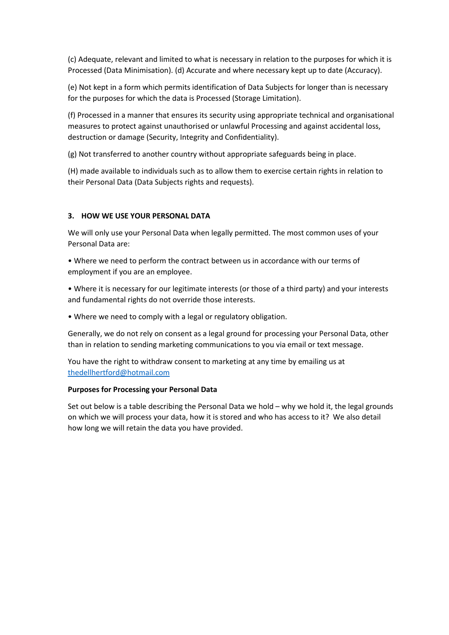(c) Adequate, relevant and limited to what is necessary in relation to the purposes for which it is Processed (Data Minimisation). (d) Accurate and where necessary kept up to date (Accuracy).

(e) Not kept in a form which permits identification of Data Subjects for longer than is necessary for the purposes for which the data is Processed (Storage Limitation).

(f) Processed in a manner that ensures its security using appropriate technical and organisational measures to protect against unauthorised or unlawful Processing and against accidental loss, destruction or damage (Security, Integrity and Confidentiality).

(g) Not transferred to another country without appropriate safeguards being in place.

(H) made available to individuals such as to allow them to exercise certain rights in relation to their Personal Data (Data Subjects rights and requests).

## **3. HOW WE USE YOUR PERSONAL DATA**

We will only use your Personal Data when legally permitted. The most common uses of your Personal Data are:

• Where we need to perform the contract between us in accordance with our terms of employment if you are an employee.

• Where it is necessary for our legitimate interests (or those of a third party) and your interests and fundamental rights do not override those interests.

• Where we need to comply with a legal or regulatory obligation.

Generally, we do not rely on consent as a legal ground for processing your Personal Data, other than in relation to sending marketing communications to you via email or text message.

You have the right to withdraw consent to marketing at any time by emailing us at [thedellhertford@hotmail.com](mailto:thedellhertford@hotmail.com)

#### **Purposes for Processing your Personal Data**

Set out below is a table describing the Personal Data we hold – why we hold it, the legal grounds on which we will process your data, how it is stored and who has access to it? We also detail how long we will retain the data you have provided.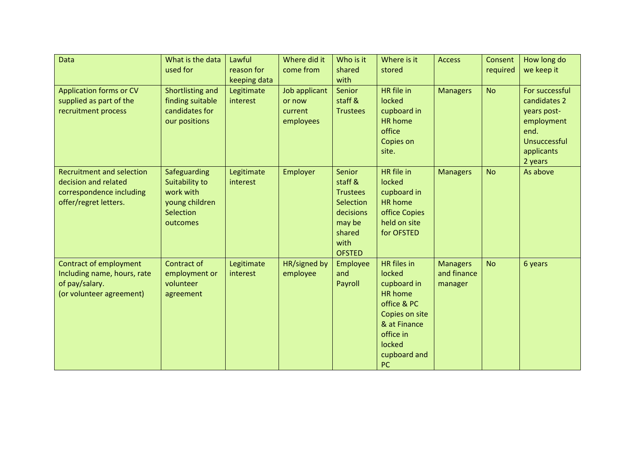| Data                                                                                                          | What is the data<br>used for                                                           | Lawful<br>reason for<br>keeping data | Where did it<br>come from                       | Who is it<br>shared<br>with                                                                                 | Where is it<br>stored                                                                                                                                              | <b>Access</b>                             | Consent<br>required | How long do<br>we keep it                                                                                    |
|---------------------------------------------------------------------------------------------------------------|----------------------------------------------------------------------------------------|--------------------------------------|-------------------------------------------------|-------------------------------------------------------------------------------------------------------------|--------------------------------------------------------------------------------------------------------------------------------------------------------------------|-------------------------------------------|---------------------|--------------------------------------------------------------------------------------------------------------|
| <b>Application forms or CV</b><br>supplied as part of the<br>recruitment process                              | Shortlisting and<br>finding suitable<br>candidates for<br>our positions                | Legitimate<br>interest               | Job applicant<br>or now<br>current<br>employees | Senior<br>staff &<br><b>Trustees</b>                                                                        | HR file in<br>locked<br>cupboard in<br><b>HR</b> home<br>office<br>Copies on<br>site.                                                                              | <b>Managers</b>                           | <b>No</b>           | For successful<br>candidates 2<br>years post-<br>employment<br>end.<br>Unsuccessful<br>applicants<br>2 years |
| <b>Recruitment and selection</b><br>decision and related<br>correspondence including<br>offer/regret letters. | Safeguarding<br>Suitability to<br>work with<br>young children<br>Selection<br>outcomes | Legitimate<br>interest               | <b>Employer</b>                                 | Senior<br>staff &<br><b>Trustees</b><br>Selection<br>decisions<br>may be<br>shared<br>with<br><b>OFSTED</b> | HR file in<br>locked<br>cupboard in<br><b>HR</b> home<br>office Copies<br>held on site<br>for OFSTED                                                               | <b>Managers</b>                           | <b>No</b>           | As above                                                                                                     |
| <b>Contract of employment</b><br>Including name, hours, rate<br>of pay/salary.<br>(or volunteer agreement)    | Contract of<br>employment or<br>volunteer<br>agreement                                 | Legitimate<br>interest               | HR/signed by<br>employee                        | Employee<br>and<br>Payroll                                                                                  | <b>HR</b> files in<br>locked<br>cupboard in<br><b>HR</b> home<br>office & PC<br>Copies on site<br>& at Finance<br>office in<br>locked<br>cupboard and<br><b>PC</b> | <b>Managers</b><br>and finance<br>manager | <b>No</b>           | 6 years                                                                                                      |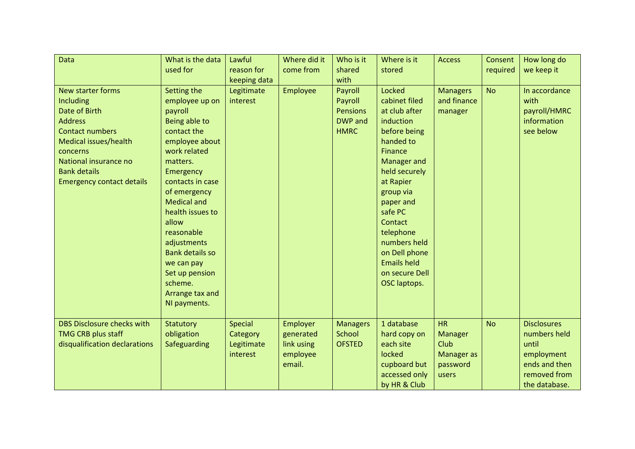| Data                              | What is the data       | Lawful         | Where did it    | Who is it       | Where is it        | <b>Access</b>   | Consent   | How long do        |
|-----------------------------------|------------------------|----------------|-----------------|-----------------|--------------------|-----------------|-----------|--------------------|
|                                   | used for               | reason for     | come from       | shared          | stored             |                 | required  | we keep it         |
|                                   |                        | keeping data   |                 | with            |                    |                 |           |                    |
| New starter forms                 | Setting the            | Legitimate     | <b>Employee</b> | Payroll         | Locked             | <b>Managers</b> | <b>No</b> | In accordance      |
| Including                         | employee up on         | interest       |                 | Payroll         | cabinet filed      | and finance     |           | with               |
| Date of Birth                     | payroll                |                |                 | <b>Pensions</b> | at club after      | manager         |           | payroll/HMRC       |
| <b>Address</b>                    | Being able to          |                |                 | <b>DWP</b> and  | induction          |                 |           | information        |
| <b>Contact numbers</b>            | contact the            |                |                 | <b>HMRC</b>     | before being       |                 |           | see below          |
| Medical issues/health             | employee about         |                |                 |                 | handed to          |                 |           |                    |
| concerns                          | work related           |                |                 |                 | <b>Finance</b>     |                 |           |                    |
| National insurance no             | matters.               |                |                 |                 | Manager and        |                 |           |                    |
| <b>Bank details</b>               | Emergency              |                |                 |                 | held securely      |                 |           |                    |
| <b>Emergency contact details</b>  | contacts in case       |                |                 |                 | at Rapier          |                 |           |                    |
|                                   | of emergency           |                |                 |                 | group via          |                 |           |                    |
|                                   | <b>Medical and</b>     |                |                 |                 | paper and          |                 |           |                    |
|                                   | health issues to       |                |                 |                 | safe PC            |                 |           |                    |
|                                   | allow                  |                |                 |                 | Contact            |                 |           |                    |
|                                   | reasonable             |                |                 |                 | telephone          |                 |           |                    |
|                                   | adjustments            |                |                 |                 | numbers held       |                 |           |                    |
|                                   | <b>Bank details so</b> |                |                 |                 | on Dell phone      |                 |           |                    |
|                                   | we can pay             |                |                 |                 | <b>Emails held</b> |                 |           |                    |
|                                   | Set up pension         |                |                 |                 | on secure Dell     |                 |           |                    |
|                                   | scheme.                |                |                 |                 | OSC laptops.       |                 |           |                    |
|                                   | Arrange tax and        |                |                 |                 |                    |                 |           |                    |
|                                   | NI payments.           |                |                 |                 |                    |                 |           |                    |
|                                   |                        |                |                 |                 |                    |                 |           |                    |
| <b>DBS Disclosure checks with</b> | <b>Statutory</b>       | <b>Special</b> | <b>Employer</b> | <b>Managers</b> | 1 database         | <b>HR</b>       | <b>No</b> | <b>Disclosures</b> |
| <b>TMG CRB plus staff</b>         | obligation             | Category       | generated       | School          | hard copy on       | <b>Manager</b>  |           | numbers held       |
| disqualification declarations     | Safeguarding           | Legitimate     | link using      | <b>OFSTED</b>   | each site          | Club            |           | until              |
|                                   |                        | interest       | employee        |                 | locked             | Manager as      |           | employment         |
|                                   |                        |                | email.          |                 | cupboard but       | password        |           | ends and then      |
|                                   |                        |                |                 |                 | accessed only      | users           |           | removed from       |
|                                   |                        |                |                 |                 | by HR & Club       |                 |           | the database.      |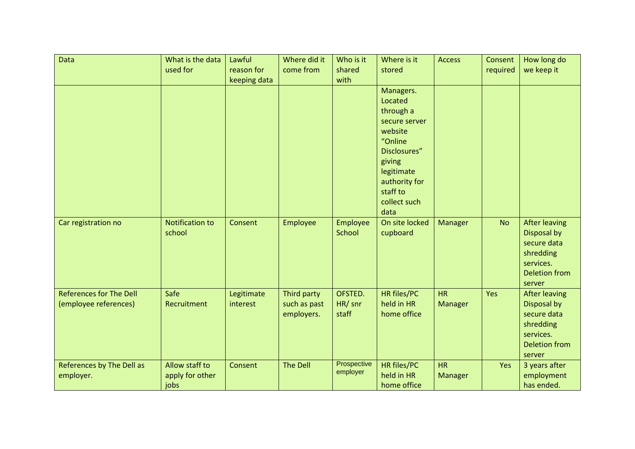| Data                           | What is the data       | Lawful       | Where did it | Who is it   | Where is it        | <b>Access</b>  | Consent   | How long do          |
|--------------------------------|------------------------|--------------|--------------|-------------|--------------------|----------------|-----------|----------------------|
|                                | used for               | reason for   | come from    | shared      | stored             |                | required  | we keep it           |
|                                |                        | keeping data |              | with        |                    |                |           |                      |
|                                |                        |              |              |             | Managers.          |                |           |                      |
|                                |                        |              |              |             | Located            |                |           |                      |
|                                |                        |              |              |             | through a          |                |           |                      |
|                                |                        |              |              |             | secure server      |                |           |                      |
|                                |                        |              |              |             | website            |                |           |                      |
|                                |                        |              |              |             | "Online            |                |           |                      |
|                                |                        |              |              |             | Disclosures"       |                |           |                      |
|                                |                        |              |              |             | giving             |                |           |                      |
|                                |                        |              |              |             | legitimate         |                |           |                      |
|                                |                        |              |              |             | authority for      |                |           |                      |
|                                |                        |              |              |             | staff to           |                |           |                      |
|                                |                        |              |              |             | collect such       |                |           |                      |
|                                |                        |              |              |             | data               |                |           |                      |
| Car registration no            | <b>Notification to</b> | Consent      | Employee     | Employee    | On site locked     | <b>Manager</b> | <b>No</b> | <b>After leaving</b> |
|                                | school                 |              |              | School      | cupboard           |                |           | Disposal by          |
|                                |                        |              |              |             |                    |                |           | secure data          |
|                                |                        |              |              |             |                    |                |           | shredding            |
|                                |                        |              |              |             |                    |                |           | services.            |
|                                |                        |              |              |             |                    |                |           | <b>Deletion from</b> |
|                                |                        |              |              |             |                    |                |           | server               |
| <b>References for The Dell</b> | Safe                   | Legitimate   | Third party  | OFSTED.     | HR files/PC        | <b>HR</b>      | Yes       | <b>After leaving</b> |
| (employee references)          | Recruitment            | interest     | such as past | HR/ snr     | held in HR         | <b>Manager</b> |           | Disposal by          |
|                                |                        |              | employers.   | staff       | home office        |                |           | secure data          |
|                                |                        |              |              |             |                    |                |           | shredding            |
|                                |                        |              |              |             |                    |                |           | services.            |
|                                |                        |              |              |             |                    |                |           | <b>Deletion from</b> |
|                                |                        |              |              |             |                    |                |           | server               |
| References by The Dell as      | Allow staff to         | Consent      | The Dell     | Prospective | <b>HR files/PC</b> | <b>HR</b>      | Yes       | 3 years after        |
| employer.                      | apply for other        |              |              | employer    | held in HR         | Manager        |           | employment           |
|                                | jobs                   |              |              |             | home office        |                |           | has ended.           |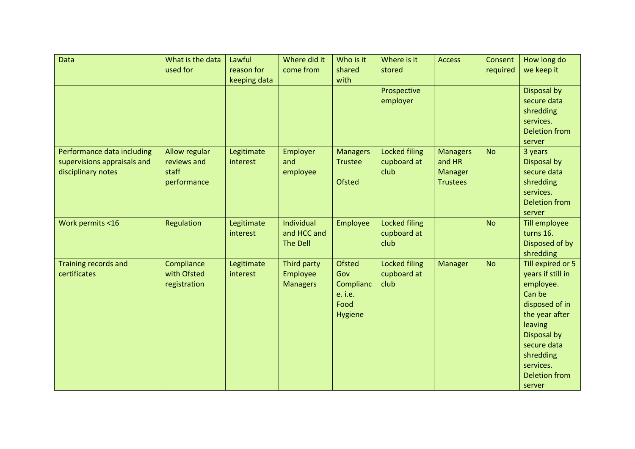| Data                                                                            | What is the data<br>used for                         | Lawful<br>reason for<br>keeping data | Where did it<br>come from                    | Who is it<br>shared<br>with                                            | Where is it<br>stored                       | <b>Access</b>                                           | Consent<br>required | How long do<br>we keep it                                                                                                                                                                              |
|---------------------------------------------------------------------------------|------------------------------------------------------|--------------------------------------|----------------------------------------------|------------------------------------------------------------------------|---------------------------------------------|---------------------------------------------------------|---------------------|--------------------------------------------------------------------------------------------------------------------------------------------------------------------------------------------------------|
|                                                                                 |                                                      |                                      |                                              |                                                                        | Prospective<br>employer                     |                                                         |                     | Disposal by<br>secure data<br>shredding<br>services.<br><b>Deletion from</b><br>server                                                                                                                 |
| Performance data including<br>supervisions appraisals and<br>disciplinary notes | Allow regular<br>reviews and<br>staff<br>performance | Legitimate<br>interest               | <b>Employer</b><br>and<br>employee           | <b>Managers</b><br><b>Trustee</b><br><b>Ofsted</b>                     | <b>Locked filing</b><br>cupboard at<br>club | <b>Managers</b><br>and HR<br>Manager<br><b>Trustees</b> | <b>No</b>           | 3 years<br>Disposal by<br>secure data<br>shredding<br>services.<br><b>Deletion from</b><br>server                                                                                                      |
| Work permits <16                                                                | Regulation                                           | Legitimate<br>interest               | Individual<br>and HCC and<br><b>The Dell</b> | Employee                                                               | <b>Locked filing</b><br>cupboard at<br>club |                                                         | <b>No</b>           | Till employee<br>turns 16.<br>Disposed of by<br>shredding                                                                                                                                              |
| <b>Training records and</b><br>certificates                                     | Compliance<br>with Ofsted<br>registration            | Legitimate<br>interest               | Third party<br>Employee<br><b>Managers</b>   | <b>Ofsted</b><br>Gov<br>Complianc<br>e. <i>i.e.</i><br>Food<br>Hygiene | <b>Locked filing</b><br>cupboard at<br>club | Manager                                                 | <b>No</b>           | Till expired or 5<br>years if still in<br>employee.<br>Can be<br>disposed of in<br>the year after<br>leaving<br>Disposal by<br>secure data<br>shredding<br>services.<br><b>Deletion from</b><br>server |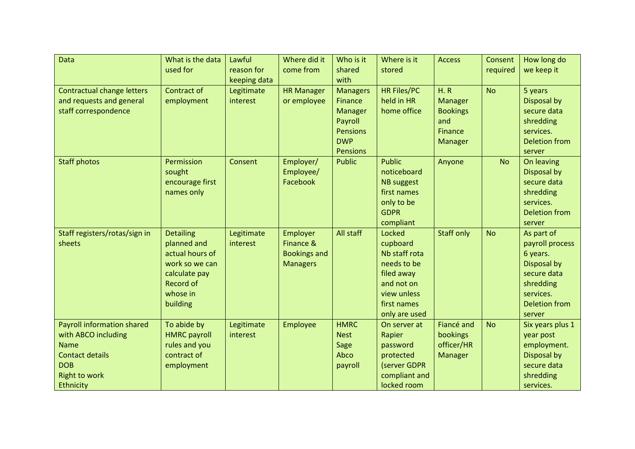| Data                              | What is the data    | Lawful       | Where did it        | Who is it       | Where is it        | <b>Access</b>     | Consent   | How long do          |
|-----------------------------------|---------------------|--------------|---------------------|-----------------|--------------------|-------------------|-----------|----------------------|
|                                   | used for            | reason for   | come from           | shared          | stored             |                   | required  | we keep it           |
|                                   |                     | keeping data |                     | with            |                    |                   |           |                      |
| <b>Contractual change letters</b> | Contract of         | Legitimate   | <b>HR Manager</b>   | <b>Managers</b> | <b>HR Files/PC</b> | H. R              | <b>No</b> | 5 years              |
| and requests and general          | employment          | interest     | or employee         | <b>Finance</b>  | held in HR         | Manager           |           | Disposal by          |
| staff correspondence              |                     |              |                     | Manager         | home office        | <b>Bookings</b>   |           | secure data          |
|                                   |                     |              |                     | Payroll         |                    | and               |           | shredding            |
|                                   |                     |              |                     | <b>Pensions</b> |                    | Finance           |           | services.            |
|                                   |                     |              |                     | <b>DWP</b>      |                    | <b>Manager</b>    |           | <b>Deletion from</b> |
|                                   |                     |              |                     | <b>Pensions</b> |                    |                   |           | server               |
| <b>Staff photos</b>               | Permission          | Consent      | Employer/           | <b>Public</b>   | <b>Public</b>      | Anyone            | <b>No</b> | On leaving           |
|                                   | sought              |              | Employee/           |                 | noticeboard        |                   |           | <b>Disposal by</b>   |
|                                   | encourage first     |              | Facebook            |                 | <b>NB</b> suggest  |                   |           | secure data          |
|                                   | names only          |              |                     |                 | first names        |                   |           | shredding            |
|                                   |                     |              |                     |                 | only to be         |                   |           | services.            |
|                                   |                     |              |                     |                 | <b>GDPR</b>        |                   |           | <b>Deletion from</b> |
|                                   |                     |              |                     |                 | compliant          |                   |           | server               |
| Staff registers/rotas/sign in     | <b>Detailing</b>    | Legitimate   | <b>Employer</b>     | All staff       | Locked             | <b>Staff only</b> | <b>No</b> | As part of           |
| sheets                            | planned and         | interest     | Finance &           |                 | cupboard           |                   |           | payroll process      |
|                                   | actual hours of     |              | <b>Bookings and</b> |                 | Nb staff rota      |                   |           | 6 years.             |
|                                   | work so we can      |              | <b>Managers</b>     |                 | needs to be        |                   |           | Disposal by          |
|                                   | calculate pay       |              |                     |                 | filed away         |                   |           | secure data          |
|                                   | <b>Record of</b>    |              |                     |                 | and not on         |                   |           | shredding            |
|                                   | whose in            |              |                     |                 | view unless        |                   |           | services.            |
|                                   | building            |              |                     |                 | first names        |                   |           | <b>Deletion from</b> |
|                                   |                     |              |                     |                 | only are used      |                   |           | server               |
| <b>Payroll information shared</b> | To abide by         | Legitimate   | Employee            | <b>HMRC</b>     | On server at       | Fiancé and        | <b>No</b> | Six years plus 1     |
| with ABCO including               | <b>HMRC</b> payroll | interest     |                     | <b>Nest</b>     | Rapier             | <b>bookings</b>   |           | year post            |
| <b>Name</b>                       | rules and you       |              |                     | Sage            | password           | officer/HR        |           | employment.          |
| <b>Contact details</b>            | contract of         |              |                     | Abco            | protected          | Manager           |           | Disposal by          |
| <b>DOB</b>                        | employment          |              |                     | payroll         | (server GDPR       |                   |           | secure data          |
| <b>Right to work</b>              |                     |              |                     |                 | compliant and      |                   |           | shredding            |
| Ethnicity                         |                     |              |                     |                 | locked room        |                   |           | services.            |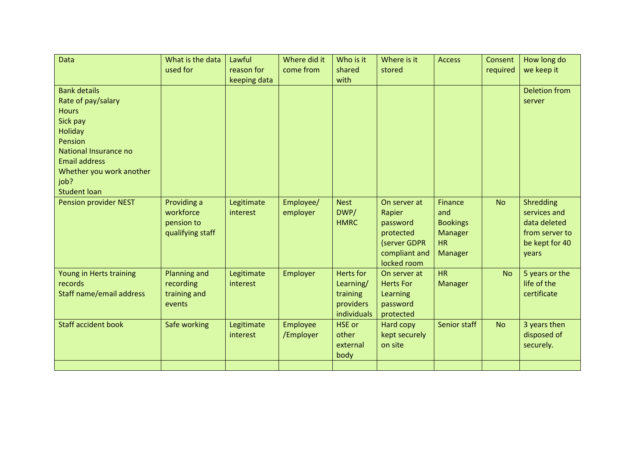| Data                            | What is the data<br>used for | Lawful<br>reason for | Where did it<br>come from | Who is it<br>shared | Where is it<br>stored | <b>Access</b>   | Consent<br>required | How long do<br>we keep it |
|---------------------------------|------------------------------|----------------------|---------------------------|---------------------|-----------------------|-----------------|---------------------|---------------------------|
|                                 |                              | keeping data         |                           | with                |                       |                 |                     |                           |
| <b>Bank details</b>             |                              |                      |                           |                     |                       |                 |                     | <b>Deletion from</b>      |
| Rate of pay/salary              |                              |                      |                           |                     |                       |                 |                     | server                    |
| <b>Hours</b>                    |                              |                      |                           |                     |                       |                 |                     |                           |
| Sick pay                        |                              |                      |                           |                     |                       |                 |                     |                           |
| <b>Holiday</b>                  |                              |                      |                           |                     |                       |                 |                     |                           |
| Pension                         |                              |                      |                           |                     |                       |                 |                     |                           |
| National Insurance no           |                              |                      |                           |                     |                       |                 |                     |                           |
| <b>Email address</b>            |                              |                      |                           |                     |                       |                 |                     |                           |
| Whether you work another        |                              |                      |                           |                     |                       |                 |                     |                           |
| job?                            |                              |                      |                           |                     |                       |                 |                     |                           |
| <b>Student loan</b>             |                              |                      |                           |                     |                       |                 |                     |                           |
| <b>Pension provider NEST</b>    | Providing a                  | Legitimate           | Employee/                 | <b>Nest</b>         | On server at          | <b>Finance</b>  | <b>No</b>           | Shredding                 |
|                                 | workforce                    | interest             | employer                  | DWP/                | Rapier                | and             |                     | services and              |
|                                 | pension to                   |                      |                           | <b>HMRC</b>         | password              | <b>Bookings</b> |                     | data deleted              |
|                                 | qualifying staff             |                      |                           |                     | protected             | Manager         |                     | from server to            |
|                                 |                              |                      |                           |                     | (server GDPR          | <b>HR</b>       |                     | be kept for 40            |
|                                 |                              |                      |                           |                     | compliant and         | Manager         |                     | years                     |
|                                 |                              |                      |                           |                     | locked room           |                 |                     |                           |
| Young in Herts training         | <b>Planning and</b>          | Legitimate           | Employer                  | <b>Herts</b> for    | On server at          | <b>HR</b>       | <b>No</b>           | 5 years or the            |
| records                         | recording                    | interest             |                           | Learning/           | <b>Herts For</b>      | <b>Manager</b>  |                     | life of the               |
| <b>Staff name/email address</b> | training and                 |                      |                           | training            | Learning              |                 |                     | certificate               |
|                                 | events                       |                      |                           | providers           | password              |                 |                     |                           |
|                                 |                              |                      |                           | individuals         | protected             |                 |                     |                           |
| <b>Staff accident book</b>      | Safe working                 | Legitimate           | <b>Employee</b>           | <b>HSE</b> or       | Hard copy             | Senior staff    | <b>No</b>           | 3 years then              |
|                                 |                              | interest             | /Employer                 | other               | kept securely         |                 |                     | disposed of               |
|                                 |                              |                      |                           | external            | on site               |                 |                     | securely.                 |
|                                 |                              |                      |                           | body                |                       |                 |                     |                           |
|                                 |                              |                      |                           |                     |                       |                 |                     |                           |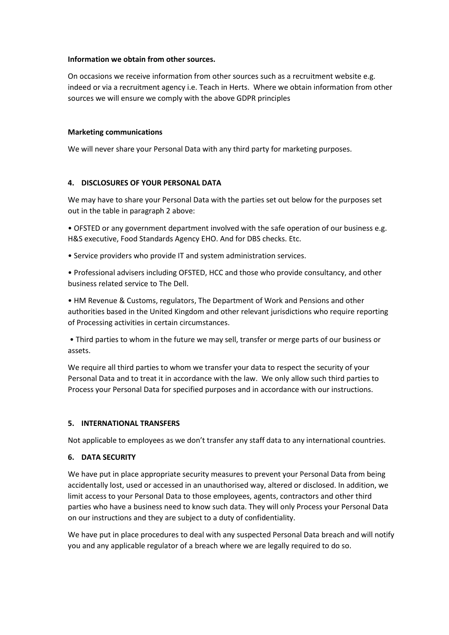#### **Information we obtain from other sources.**

On occasions we receive information from other sources such as a recruitment website e.g. indeed or via a recruitment agency i.e. Teach in Herts. Where we obtain information from other sources we will ensure we comply with the above GDPR principles

#### **Marketing communications**

We will never share your Personal Data with any third party for marketing purposes.

#### **4. DISCLOSURES OF YOUR PERSONAL DATA**

We may have to share your Personal Data with the parties set out below for the purposes set out in the table in paragraph 2 above:

• OFSTED or any government department involved with the safe operation of our business e.g. H&S executive, Food Standards Agency EHO. And for DBS checks. Etc.

- Service providers who provide IT and system administration services.
- Professional advisers including OFSTED, HCC and those who provide consultancy, and other business related service to The Dell.

• HM Revenue & Customs, regulators, The Department of Work and Pensions and other authorities based in the United Kingdom and other relevant jurisdictions who require reporting of Processing activities in certain circumstances.

• Third parties to whom in the future we may sell, transfer or merge parts of our business or assets.

We require all third parties to whom we transfer your data to respect the security of your Personal Data and to treat it in accordance with the law. We only allow such third parties to Process your Personal Data for specified purposes and in accordance with our instructions.

#### **5. INTERNATIONAL TRANSFERS**

Not applicable to employees as we don't transfer any staff data to any international countries.

#### **6. DATA SECURITY**

We have put in place appropriate security measures to prevent your Personal Data from being accidentally lost, used or accessed in an unauthorised way, altered or disclosed. In addition, we limit access to your Personal Data to those employees, agents, contractors and other third parties who have a business need to know such data. They will only Process your Personal Data on our instructions and they are subject to a duty of confidentiality.

We have put in place procedures to deal with any suspected Personal Data breach and will notify you and any applicable regulator of a breach where we are legally required to do so.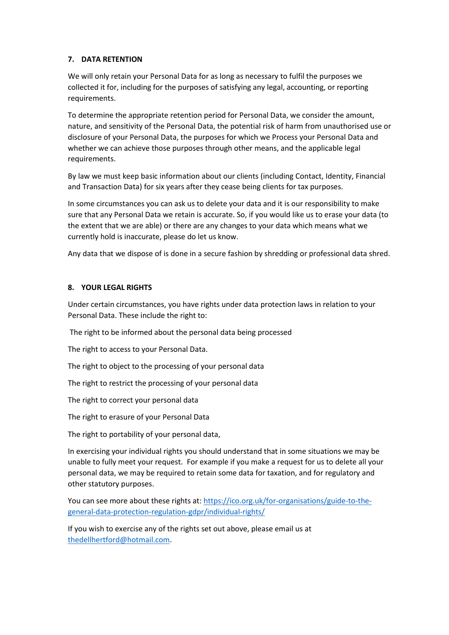## **7. DATA RETENTION**

We will only retain your Personal Data for as long as necessary to fulfil the purposes we collected it for, including for the purposes of satisfying any legal, accounting, or reporting requirements.

To determine the appropriate retention period for Personal Data, we consider the amount, nature, and sensitivity of the Personal Data, the potential risk of harm from unauthorised use or disclosure of your Personal Data, the purposes for which we Process your Personal Data and whether we can achieve those purposes through other means, and the applicable legal requirements.

By law we must keep basic information about our clients (including Contact, Identity, Financial and Transaction Data) for six years after they cease being clients for tax purposes.

In some circumstances you can ask us to delete your data and it is our responsibility to make sure that any Personal Data we retain is accurate. So, if you would like us to erase your data (to the extent that we are able) or there are any changes to your data which means what we currently hold is inaccurate, please do let us know.

Any data that we dispose of is done in a secure fashion by shredding or professional data shred.

## **8. YOUR LEGAL RIGHTS**

Under certain circumstances, you have rights under data protection laws in relation to your Personal Data. These include the right to:

The right to be informed about the personal data being processed

The right to access to your Personal Data.

The right to object to the processing of your personal data

The right to restrict the processing of your personal data

The right to correct your personal data

The right to erasure of your Personal Data

The right to portability of your personal data,

In exercising your individual rights you should understand that in some situations we may be unable to fully meet your request. For example if you make a request for us to delete all your personal data, we may be required to retain some data for taxation, and for regulatory and other statutory purposes.

You can see more about these rights at: [https://ico.org.uk/for-organisations/guide-to-the](https://ico.org.uk/for-organisations/guide-to-the-general-data-protection-regulation-gdpr/individual-rights/)[general-data-protection-regulation-gdpr/individual-rights/](https://ico.org.uk/for-organisations/guide-to-the-general-data-protection-regulation-gdpr/individual-rights/)

If you wish to exercise any of the rights set out above, please email us at [thedellhertford@hotmail.com.](mailto:thedellhertford@hotmail.com)